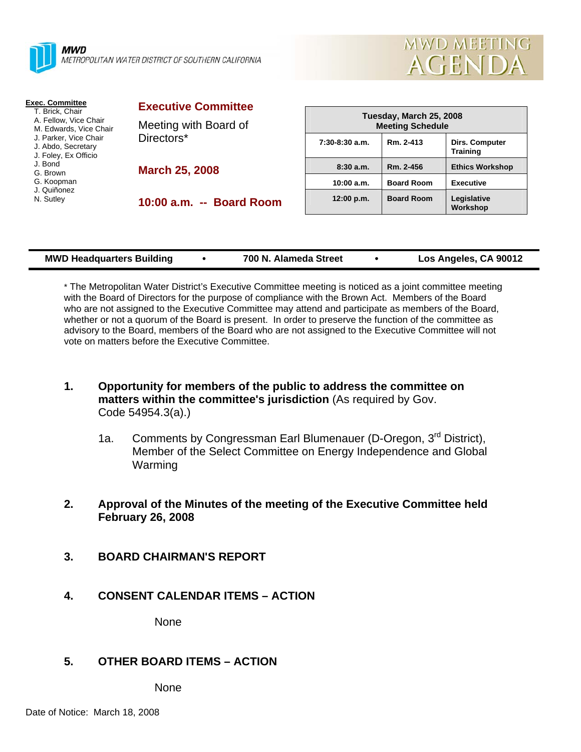|  | Λ |
|--|---|
|  |   |
|  | N |
|  |   |

**AWD** *METROPOLITAN WATER DISTRICT OF SOUTHERN CALIFORNIA* 



| Exec. Committee<br>T. Brick, Chair                                                                                     | <b>Executive Committee</b>          |
|------------------------------------------------------------------------------------------------------------------------|-------------------------------------|
| A. Fellow, Vice Chair<br>M. Edwards, Vice Chair<br>J. Parker. Vice Chair<br>J. Abdo, Secretary<br>J. Foley, Ex Officio | Meeting with Board of<br>Directors* |
| J. Bond<br>G. Brown<br>G. Koopman<br>J. Quiñonez                                                                       | <b>March 25, 2008</b>               |
| N. Sutley                                                                                                              | 10:00 a.m. -- Board Room            |

| Tuesday, March 25, 2008<br><b>Meeting Schedule</b> |                   |                                          |  |
|----------------------------------------------------|-------------------|------------------------------------------|--|
| $7:30-8:30$ a.m.                                   | Rm. 2-413         | <b>Dirs. Computer</b><br><b>Training</b> |  |
| 8:30a.m.                                           | Rm. 2-456         | <b>Ethics Workshop</b>                   |  |
| 10:00 a.m.                                         | <b>Board Room</b> | <b>Executive</b>                         |  |
| 12:00 p.m.                                         | <b>Board Room</b> | Legislative<br>Workshop                  |  |

\* The Metropolitan Water District's Executive Committee meeting is noticed as a joint committee meeting with the Board of Directors for the purpose of compliance with the Brown Act. Members of the Board who are not assigned to the Executive Committee may attend and participate as members of the Board, whether or not a quorum of the Board is present. In order to preserve the function of the committee as advisory to the Board, members of the Board who are not assigned to the Executive Committee will not vote on matters before the Executive Committee.

- **1. Opportunity for members of the public to address the committee on matters within the committee's jurisdiction** (As required by Gov. Code 54954.3(a).)
	- 1a. Comments by Congressman Earl Blumenauer (D-Oregon, 3<sup>rd</sup> District), Member of the Select Committee on Energy Independence and Global Warming
- **2. Approval of the Minutes of the meeting of the Executive Committee held February 26, 2008**
- **3. BOARD CHAIRMAN'S REPORT**
- **4. CONSENT CALENDAR ITEMS ACTION**

None

## **5. OTHER BOARD ITEMS – ACTION**

None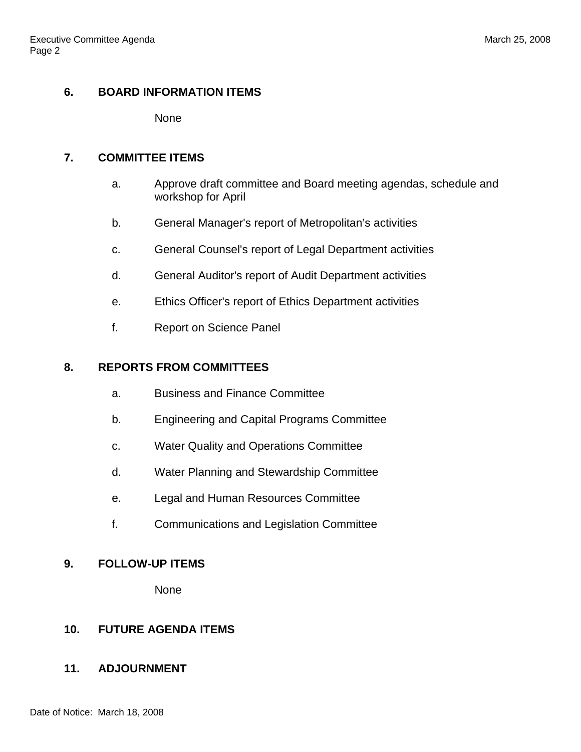# **6. BOARD INFORMATION ITEMS**

None

### **7. COMMITTEE ITEMS**

- a. Approve draft committee and Board meeting agendas, schedule and workshop for April
- b. General Manager's report of Metropolitan's activities
- c. General Counsel's report of Legal Department activities
- d. General Auditor's report of Audit Department activities
- e. Ethics Officer's report of Ethics Department activities
- f. Report on Science Panel

#### **8. REPORTS FROM COMMITTEES**

- a. Business and Finance Committee
- b. Engineering and Capital Programs Committee
- c. Water Quality and Operations Committee
- d. Water Planning and Stewardship Committee
- e. Legal and Human Resources Committee
- f. Communications and Legislation Committee

## **9. FOLLOW-UP ITEMS**

None

# **10. FUTURE AGENDA ITEMS**

## **11. ADJOURNMENT**